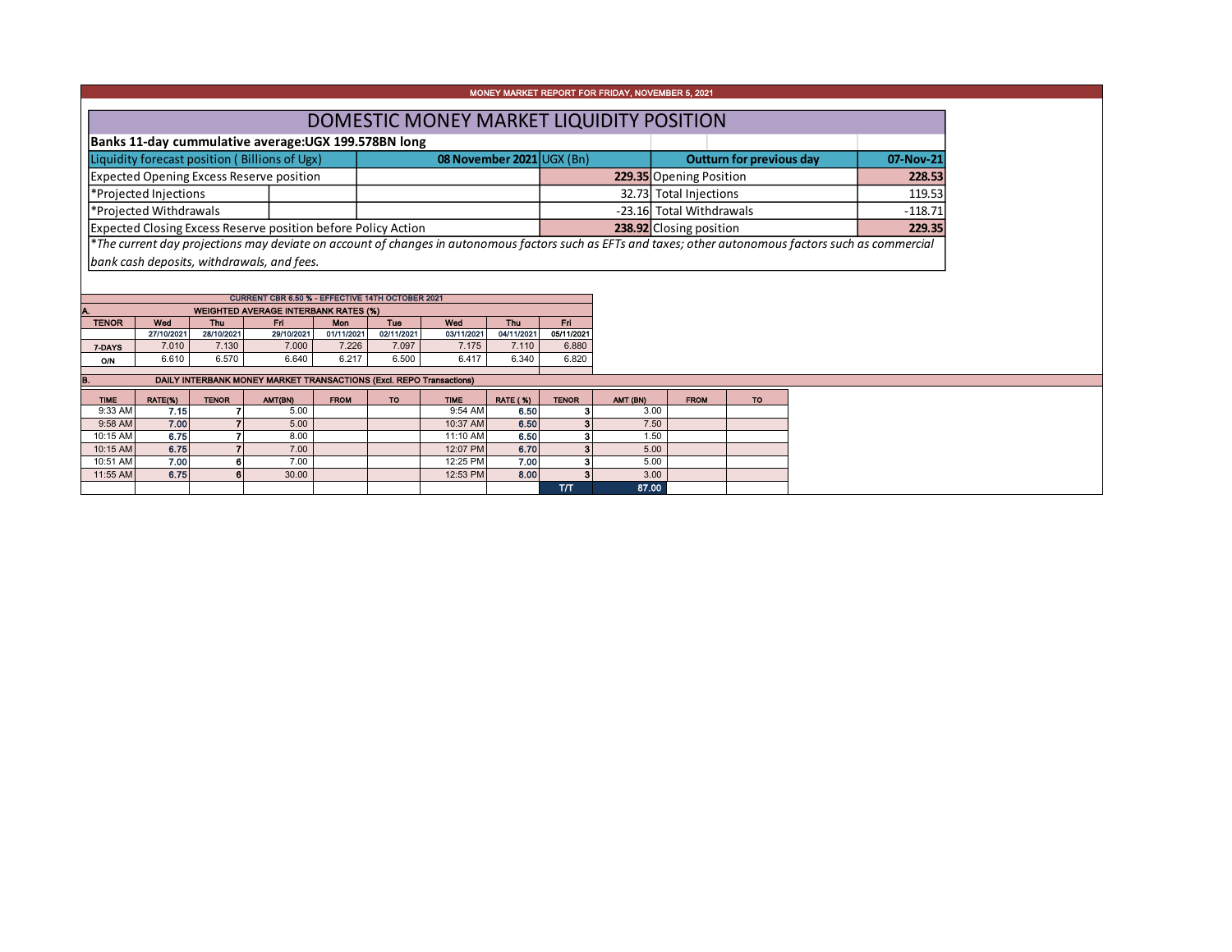| MONEY MARKET REPORT FOR FRIDAY, NOVEMBER 5, 2021                                                                                                         |  |                           |  |                                 |           |  |  |  |  |  |  |
|----------------------------------------------------------------------------------------------------------------------------------------------------------|--|---------------------------|--|---------------------------------|-----------|--|--|--|--|--|--|
| DOMESTIC MONEY MARKET LIQUIDITY POSITION                                                                                                                 |  |                           |  |                                 |           |  |  |  |  |  |  |
|                                                                                                                                                          |  |                           |  |                                 |           |  |  |  |  |  |  |
| Banks 11-day cummulative average: UGX 199.578BN long                                                                                                     |  |                           |  |                                 |           |  |  |  |  |  |  |
| Liquidity forecast position (Billions of Ugx)                                                                                                            |  | 08 November 2021 UGX (Bn) |  | <b>Outturn for previous day</b> | 07-Nov-21 |  |  |  |  |  |  |
| Expected Opening Excess Reserve position                                                                                                                 |  |                           |  | 229.35 Opening Position         | 228.53    |  |  |  |  |  |  |
| *Projected Injections                                                                                                                                    |  |                           |  | 32.73 Total Injections          | 119.53    |  |  |  |  |  |  |
| *Projected Withdrawals                                                                                                                                   |  |                           |  | -23.16 Total Withdrawals        | $-118.71$ |  |  |  |  |  |  |
| Expected Closing Excess Reserve position before Policy Action                                                                                            |  |                           |  | 238.92 Closing position         | 229.35    |  |  |  |  |  |  |
| *The current day projections may deviate on account of changes in autonomous factors such as EFTs and taxes; other autonomous factors such as commercial |  |                           |  |                                 |           |  |  |  |  |  |  |
| bank cash deposits, withdrawals, and fees.                                                                                                               |  |                           |  |                                 |           |  |  |  |  |  |  |

| CURRENT CBR 6.50 % - EFFECTIVE 14TH OCTOBER 2021   |       |            |            |            |            |            |            |  |  |  |  |  |  |  |
|----------------------------------------------------|-------|------------|------------|------------|------------|------------|------------|--|--|--|--|--|--|--|
| <b>WEIGHTED AVERAGE INTERBANK RATES (%)</b><br>IA. |       |            |            |            |            |            |            |  |  |  |  |  |  |  |
| Wed                                                | Thu   | Eri        | <b>Mon</b> | Tue        | Wed        | Thu        | Eri        |  |  |  |  |  |  |  |
|                                                    |       | 29/10/2021 | 01/11/2021 | 02/11/2021 | 03/11/2021 | 04/11/2021 | 05/11/2021 |  |  |  |  |  |  |  |
| 7.010                                              | 7.130 | 7.000      | 7.226      | 7.097      | 7.175      | 7.110      | 6.880      |  |  |  |  |  |  |  |
| 6.610                                              | 6.570 | 6.640      | 6.217      | 6.500      | 6.417      | 6.340      | 6.820      |  |  |  |  |  |  |  |
|                                                    |       | 27/10/2021 | 28/10/2021 |            |            |            |            |  |  |  |  |  |  |  |

| B.          | DAILY INTERBANK MONEY MARKET TRANSACTIONS (Excl. REPO Transactions) |              |         |             |     |             |                 |              |          |             |           |  |  |  |  |
|-------------|---------------------------------------------------------------------|--------------|---------|-------------|-----|-------------|-----------------|--------------|----------|-------------|-----------|--|--|--|--|
| <b>TIME</b> | RATE(%)                                                             | <b>TENOR</b> | AMT(BN) | <b>FROM</b> | TO. | <b>TIME</b> | <b>RATE (%)</b> | <b>TENOR</b> | AMT (BN) | <b>FROM</b> | <b>TO</b> |  |  |  |  |
| $9:33$ AM   | 7.15                                                                |              | 5.00    |             |     | 9:54 AM     | 6.50            |              | 3.00     |             |           |  |  |  |  |
| 9:58 AM     | 7.00                                                                |              | 5.00    |             |     | 10:37 AM    | 6.50            |              | 7.50     |             |           |  |  |  |  |
| 10:15 AM    | 6.75                                                                |              | 8.00    |             |     | 11:10 AM    | 6.50            |              | 1.50     |             |           |  |  |  |  |
| 10:15 AM    | 6.75                                                                |              | 7.00    |             |     | 12:07 PM    | 6.70            |              | 5.00     |             |           |  |  |  |  |
| 10:51 AM    | 7.00                                                                | 6            | 7.00    |             |     | 12:25 PM    | 7.00            |              | 5.00     |             |           |  |  |  |  |
| 11:55 AM    | 6.75                                                                | 6            | 30.00   |             |     | 12:53 PM    | 8.00            |              | 3.00     |             |           |  |  |  |  |
|             |                                                                     |              |         |             |     |             |                 | тл           | 87.00    |             |           |  |  |  |  |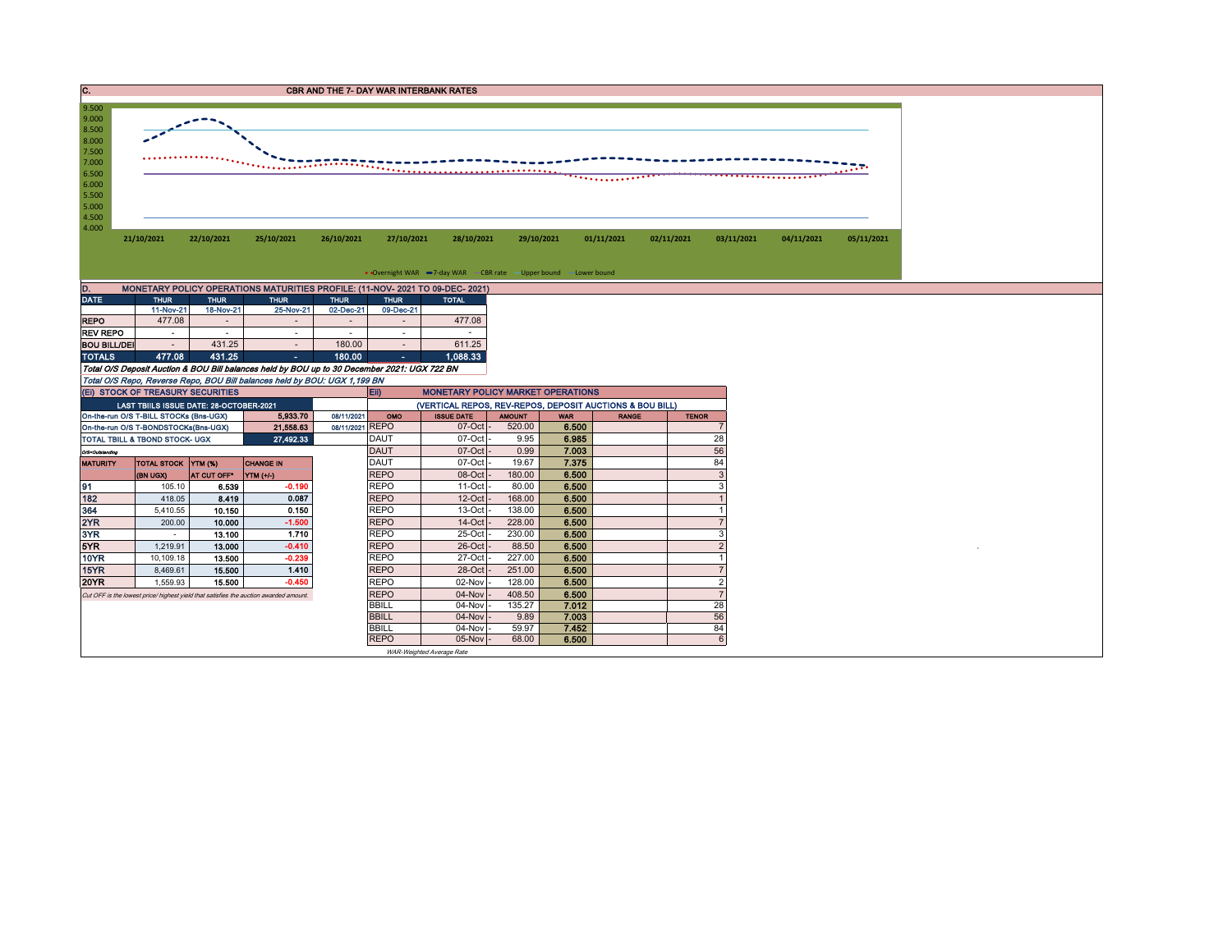| IC.   | <b>CBR AND THE 7- DAY WAR INTERBANK RATES</b>                                                                                                                |
|-------|--------------------------------------------------------------------------------------------------------------------------------------------------------------|
|       |                                                                                                                                                              |
| 9.500 |                                                                                                                                                              |
|       |                                                                                                                                                              |
| 9.000 |                                                                                                                                                              |
| 8.500 |                                                                                                                                                              |
| 8.000 |                                                                                                                                                              |
|       |                                                                                                                                                              |
| 7.500 |                                                                                                                                                              |
| 7.000 | . The experiment is the set of $\mathcal{L}_{\mathbf{a},\mathbf{b},\mathbf{b},\mathbf{c}}$<br>--------------------------------<br>----------<br>. <b>.</b> . |

**21/10/2021 22/10/2021 25/10/2021 26/10/2021 27/10/2021 28/10/2021 29/10/2021 01/11/2021 02/11/2021 03/11/2021 04/11/2021 05/11/2021**

• Overnight WAR -7-day WAR - CBR rate - Upper bound - Lower bound

| D.<br>MONETARY POLICY OPERATIONS MATURITIES PROFILE: (11-NOV- 2021 TO 09-DEC- 2021) |             |                              |             |             |             |              |  |  |  |  |  |  |  |
|-------------------------------------------------------------------------------------|-------------|------------------------------|-------------|-------------|-------------|--------------|--|--|--|--|--|--|--|
| <b>DATE</b>                                                                         | <b>THUR</b> | <b>THUR</b>                  | <b>THUR</b> | <b>THUR</b> | <b>THUR</b> | <b>TOTAL</b> |  |  |  |  |  |  |  |
|                                                                                     | 11-Nov-21   | 18-Nov-21                    | 25-Nov-21   | 02-Dec-21   | 09-Dec-21   |              |  |  |  |  |  |  |  |
| <b>REPO</b>                                                                         | 477.08      | $\qquad \qquad \blacksquare$ |             |             |             | 477.08       |  |  |  |  |  |  |  |
| <b>REV REPO</b>                                                                     |             |                              |             |             |             |              |  |  |  |  |  |  |  |
| <b>BOU BILL/DEI</b>                                                                 |             | 431.25                       |             | 180.00      |             | 611.25       |  |  |  |  |  |  |  |
| <b>TOTALS</b>                                                                       | 477.08      | 431.25                       | ж.          | 180.00      | ٠           | 1,088.33     |  |  |  |  |  |  |  |

Total O/S Deposit Auction & BOU Bill balances held by BOU up to 30 December 2021: UGX 722 BN Total O/S Repo, Reverse Repo, BOU Bill balances held by BOU: UGX 1,199 BN

8.500<br>
7.500<br>
7.000<br>
6.500<br>
6.000<br>
5.500<br>
4.500<br>
4.000

|                 | (EI) STOCK OF TREASURY SECURITIES         |             |                                                                                       |                 | EID.          | <b>MONETARY POLICY MARKET OPERATIONS</b>                 |               |            |              |              |  |  |
|-----------------|-------------------------------------------|-------------|---------------------------------------------------------------------------------------|-----------------|---------------|----------------------------------------------------------|---------------|------------|--------------|--------------|--|--|
|                 | LAST TBIILS ISSUE DATE: 28-OCTOBER-2021   |             |                                                                                       |                 |               | (VERTICAL REPOS, REV-REPOS, DEPOSIT AUCTIONS & BOU BILL) |               |            |              |              |  |  |
|                 | On-the-run O/S T-BILL STOCKs (Bns-UGX)    |             | 5.933.70                                                                              | 08/11/2021      | OMO           | <b>ISSUE DATE</b>                                        | <b>AMOUNT</b> | <b>WAR</b> | <b>RANGE</b> | <b>TENOR</b> |  |  |
|                 | On-the-run O/S T-BONDSTOCKs(Bns-UGX)      |             | 21,558.63                                                                             | 08/11/2021 REPO |               | $07$ -Oct $-$                                            | 520.00        | 6.500      |              |              |  |  |
|                 | <b>TOTAL TBILL &amp; TBOND STOCK- UGX</b> |             | 27,492.33                                                                             |                 | <b>DAUT</b>   | $07$ -Oct $-$                                            | 9.95          | 6.985      |              | 28           |  |  |
| O/S=Outstanding |                                           |             |                                                                                       |                 | <b>DAUT</b>   | $07$ -Oct $-$                                            | 0.99          | 7.003      |              | 56           |  |  |
| <b>MATURITY</b> | TOTAL STOCK YTM (%)                       |             | <b>CHANGE IN</b>                                                                      |                 | DAUT          | 07-Oct -                                                 | 19.67         | 7.375      |              | 84           |  |  |
|                 | (BN UGX)                                  | AT CUT OFF" | YTM (+/-)                                                                             |                 | <b>REPO</b>   | $08$ -Oct $-$                                            | 180.00        | 6.500      |              |              |  |  |
| 91              | 105.10                                    | 6.539       | $-0.190$                                                                              |                 | <b>REPO</b>   | $11-Oct$ -                                               | 80.00         | 6.500      |              |              |  |  |
| 182             | 418.05                                    | 8.419       | 0.087                                                                                 |                 | <b>REPO</b>   | $12$ -Oct $-$                                            | 168.00        | 6.500      |              |              |  |  |
| 364             | 5,410.55                                  | 10.150      | 0.150                                                                                 |                 | <b>REPO</b>   | $13-Oct$ -                                               | 138.00        | 6.500      |              |              |  |  |
| 2YR             | 200.00                                    | 10.000      | $-1.500$                                                                              |                 | <b>REPO</b>   | $14$ -Oct $-$                                            | 228.00        | 6.500      |              |              |  |  |
| 3YR             | $\overline{\phantom{a}}$                  | 13.100      | 1.710                                                                                 |                 | <b>REPO</b>   | 25-Oct -                                                 | 230.00        | 6.500      |              |              |  |  |
| 5YR             | 1.219.91                                  | 13.000      | $-0.410$                                                                              |                 | <b>REPO</b>   | 26-Oct -                                                 | 88.50         | 6.500      |              |              |  |  |
| <b>10YR</b>     | 10,109.18                                 | 13.500      | $-0.239$                                                                              |                 | <b>REPO</b>   | 27-Oct -                                                 | 227.00        | 6.500      |              |              |  |  |
| <b>15YR</b>     | 8,469.61                                  | 15.500      | 1.410                                                                                 |                 | <b>REPO</b>   | 28-Oct -                                                 | 251.00        | 6.500      |              |              |  |  |
| <b>20YR</b>     | 1,559.93                                  | 15.500      | $-0.450$                                                                              |                 | <b>REPO</b>   | 02-Nov -                                                 | 128.00        | 6.500      |              |              |  |  |
|                 |                                           |             | Cut OFF is the lowest price/ highest yield that satisfies the auction awarded amount. |                 | <b>REPO</b>   | $04$ -Nov $-$                                            | 408.50        | 6.500      |              |              |  |  |
|                 |                                           |             |                                                                                       | <b>BBILL</b>    | 04-Nov -      | 135.27                                                   | 7.012         |            | 28           |              |  |  |
|                 |                                           |             |                                                                                       | <b>BBILL</b>    | $04$ -Nov $-$ | 9.89                                                     | 7.003         |            | 56           |              |  |  |
|                 |                                           |             |                                                                                       |                 | <b>BBILL</b>  | $04-Nov -$                                               | 59.97         | 7.452      |              | 84           |  |  |
|                 |                                           |             |                                                                                       |                 | <b>REPO</b>   | $05$ -Nov $ -$                                           | 68.00         | 6.500      |              |              |  |  |

WAR-Weighted Average Rate